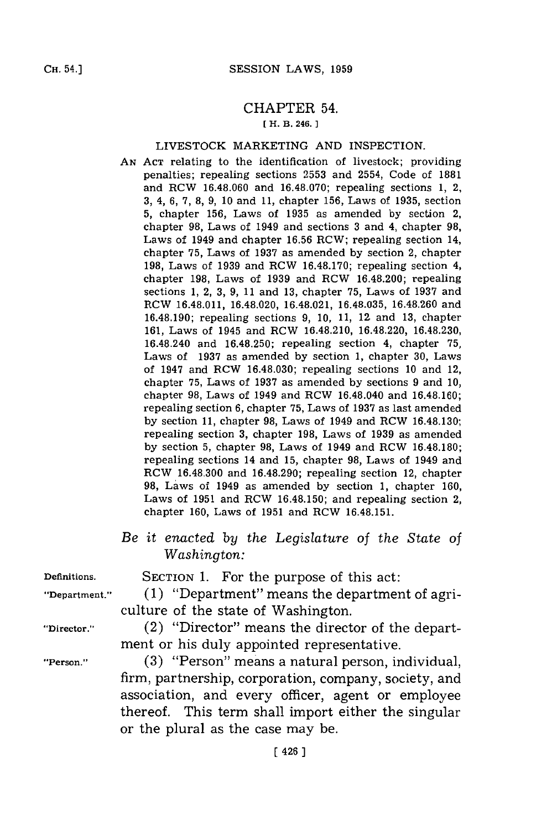## CHAPTER 54.

## **[ H. B. 246.**

## LIVESTOCK MARKETING **AND** INSPECTION.

- **AN ACT** relating to the identification of livestock; providing penalties; repealing sections **2553** and 2554, Code of **1881** and RCW **16.48.060** and **16.48.070;** repealing sections **1,** 2, **3,** 4, **6, 7, 8, 9, 10** and **11,** chapter **156,** Laws of **1935,** section **5,** chapter **156,** Laws of **1935** as amended **by** section 2, chapter **98,** Laws of 1949 and sections **3** and 4, chapter **98,** Laws of 1949 and chapter **16.56** RCW; repealing section 14, chapter **75,** Laws of **1937** as amended **by** section 2, chapter **198,** Laws of **1939** and RCW **16.48.170;** repealing section 4, chapter **198,** Laws of **1939** and RCW 16.48.200; repealing sections **1,** 2, **3, 9, 11** and **13,** chapter **75,** Laws of **1937** and RCW 16.48.011, 16.48.020, 16.48.021, **16.48.035, 16.48.260** and **16.48.190;** repealing sections **9, 10, 11,** 12, and **13,** chapter **161,** Laws of 1945 and RCW 16.48.210, 16.48.220, **16.48.230,** 16.48.240 and **16.48.250;** repealing section 4, chapter **75,** Laws of **1937** as amended **by** section **1,** chapter **30,** Laws of 1947 and RCW **16.48.030;** repealing sections **10** and 12, chapter **75,** Laws of **1937** as amended **by** sections **9** and **10,** chapter **98,** Laws of 1949 and RCW 16.48.040 and **16.48.160;** repealing section **6,** chapter **75,** Laws of **1937** as last amended **by** section **11,** chapter **98,** Laws of 1949 and RCW **16.48.130;** repealing section **3,** chapter **198,** Laws of **1939** as amended **by** section **5,** chapter **98,** Laws of 1949 and RCW **16.48.180;** repealing sections 14 and **15,** chapter **98,** Laws of 1949 and RCW **16.48.300** and **16.48.290;** repealing section 12, chapter **98,** Laws of 1949 as amended **by** section **1,** chapter **160,** Laws of **1951** and RCW **16.48.150;** and repealing section 2, chapter **160,** Laws of **1951** and RCW **16.48.151.**
- *Be it enacted by the Legislature of the State of Washington:*

**Definitions.** SECTION **1.** For the purpose of this act: **"Department." (1)** "Department" means the department of agri-

culture of the state of Washington.

**"Director."** (2) "Director" means the director of the department or his duly appointed representative.

**"Person." (3)** "Person" means a natural person, individual, firm, partnership, corporation, company, society, and association, and every officer, agent or employee thereof. This term shall import either the singular or the plural as the case may be.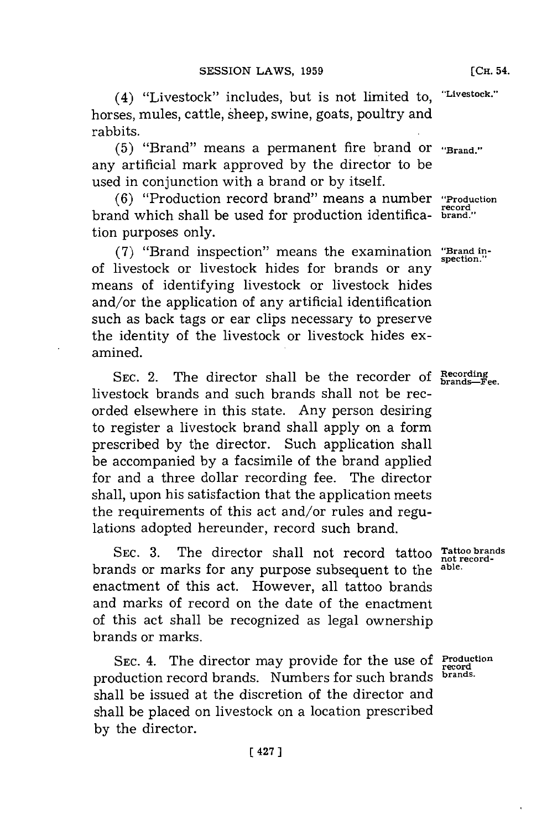**(CH.** 54.

(4) "Livestock" includes, but is not limited to, **'Livestock."** horses, mules, cattle, Sheep, swine, goats, poultry and rabbits.

**(5)** "Brand" means a permanent fire brand or **"'Brand."** any artificial mark approved **by** the director to be used in conjunction with a brand or **by** itself.

**(6)** "Production record brand" means a number **"Production** brand which shall be used for production identifica- **brand."** tion purposes only.

(7) "Brand inspection" means the examination "Brand inof livestock or livestock hides for brands or any means of identifying livestock or livestock hides and/or the application of any artificial identification such as back tags or ear clips necessary to preserve the identity of the livestock or livestock hides examined.

SEC. 2. The director shall be the recorder of **Recording brands--Fee.** livestock brands and such brands shall not be recorded elsewhere in this state. Any person desiring to register a livestock brand shall apply on a form prescribed **by** the director. Such application shall be accompanied **by** a facsimile of the brand applied for and a three dollar recording fee. The director shall, upon his satisfaction that the application meets the requirements of this act and/or rules and regulations adopted hereunder, record such brand.

SEC. 3. The director shall not record tattoo not recordbrands or marks for any purpose subsequent to the **able.** enactment of this act. However, all tattoo brands and marks of record on the date of the enactment of this act shall be recognized as legal ownership brands or marks.

**SEC.** 4. The director may provide for the use of **Production** production record brands. Numbers **for** such brands **brands.** shall be issued at the discretion of the director and shall be placed on livestock on a location prescribed **by** the director.

**record**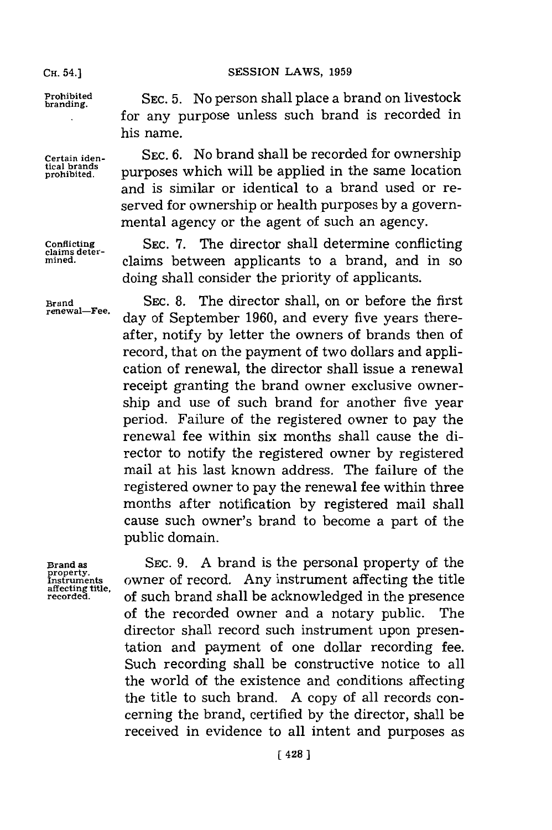**mined.**

**Brand renewal-Fee.**

Prohibited SEC. 5. No person shall place a brand on livestock for any purpose unless such brand is recorded in his name.

Certain iden-<br> **Certain iden-** SEC. 6. No brand shall be recorded for ownership<br>
prohibited. Purposes which will be applied in the same location purposes which will be applied in the same location and is similar or identical to a brand used or reserved for ownership or health purposes **by** a governmental agency or the agent of such an agency.

Conflicting SEC. 7. The director shall determine conflicting claims deterclaims between applicants to a brand, and in so doing shall consider the priority of applicants.

> SEC. 8. The director shall, on or before the first day of September **1960,** and every five years thereafter, notify **by** letter the owners of brands then of record, that on the payment of two dollars and application of renewal, the director shall issue a renewal receipt granting the brand owner exclusive ownership and use of such brand for another five year period. Failure of the registered owner to pay the renewal fee within six months shall cause the director to notify the registered owner **by** registered mail at his last known address. The failure of the registered owner to pay the renewal fee within three months after notification **by** registered mail shall cause such owner's brand to become a part of the public domain.

**Brand as Instruments affecting title, recorded.**

**SEC. 9. A** brand is the personal property of the owner of record. Any instrument affecting the title of such brand shall be acknowledged in the presence of the recorded owner and a notary public. The director shall record such instrument upon presentation and payment of one dollar recording fee. Such recording shall be constructive notice to all the world of the existence and conditions affecting the title to such brand. **A** copy of all records concerning the brand, certified **by** the director, shall be received in evidence to all intent and purposes as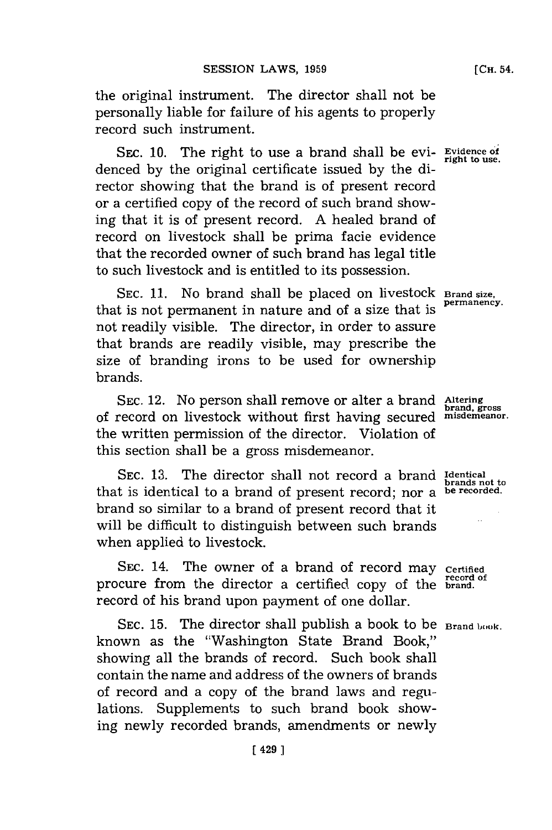the original instrument. The director shall not be personally liable for failure of his agents to properly record such instrument.

SEC. 10. The right to use a brand shall be evi- **Evidence of** right to use. denced by the original certificate issued by the director showing that the brand is of present record or a certified copy of the record of such brand showing that it is of present record. **A** healed brand of record on livestock shall be prima facie evidence that the recorded owner of such brand has legal title to such livestock and is entitled to its possession.

SEC. 11. No brand shall be placed on livestock **Brand size.** that is not permanent in nature and of a size that is **permanency.** not readily visible. The director, in order to assure that brands are readily visible, may prescribe the size of branding irons to be used for ownership brands.

SEC. 12. No person shall remove or alter a brand Altering<br>of record on livestock without first having secured *misdemeanor* the written permission of the director. Violation of this section shall be a gross misdemeanor.

**SEC. 13.** The director shall not record a brand **Identical** bec. 10. The uncetor share not record a brand brands not to<br>that is identical to a brand of present record; nor a **be recorded**. brand so similar to a brand of present record that it will be difficult to distinguish between such brands when applied to livestock.

SEC. 14. The owner of a brand of record may certified procure from the director a certified copy of the **brand**. record of his brand upon payment of one dollar.

SEC. 15. The director shall publish a book to be **Brand book**. known as the "Washington State Brand Book," showing all the brands of record. Such book shall contain the name and address of the owners of brands of record and a copy of the brand laws and regulations. Supplements to such brand book showing newly recorded brands, amendments or newly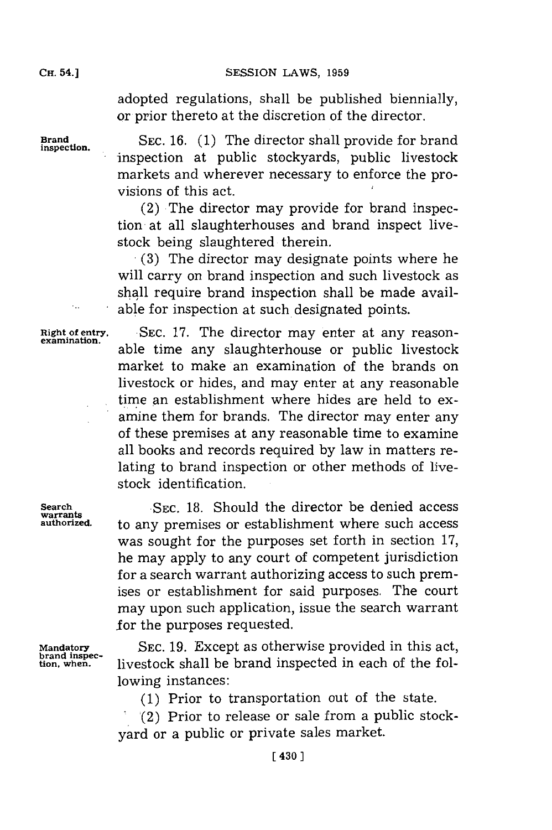adopted regulations, shall be published biennially, or prior thereto at the discretion of the director.

Brand SEC. 16. (1) The director shall provide for brand inspection at public stockyards, public livestock markets and wherever necessary to enforce the provisions of this act.

> (2) The director may provide for brand inspection at all slaughterhouses and brand inspect livestock being slaughtered therein.

> **(3)** The director may designate points where he will carry on brand inspection and such livestock as shall require brand inspection shall be made available for inspection at such designated points.

Right of entry, SEC. 17. The director may enter at any reason-examination. able time any slaughterhouse or public livestock market to make an examination of the brands on livestock or hides, and may enter at any reasonable time an establishment where hides are held to examine them **for** brands. The director may enter any of these premises at any reasonable time to examine all books and records required **by** law in matters relating to brand inspection or other methods of livestock identification.

**Search SEC. 18. Should the director be denied access**<br> **Warrants authorized.** to any premises or establishment where such access was sought for the purposes set forth in section **17,** he may apply to any court of competent jurisdiction for a search warrant authorizing access to such premises or establishment for said purposes. The court may upon such application, issue the search warrant **for** the purposes requested.

**Mandatory SEC. 19.** Except as otherwise provided in this act, **brand inspec- tion, when,** livestock shall be brand inspected in each of the following instances:

**(1)** Prior to transportation out of the state.

(2) Prior to release or sale from a public stockyard or a public or private sales market.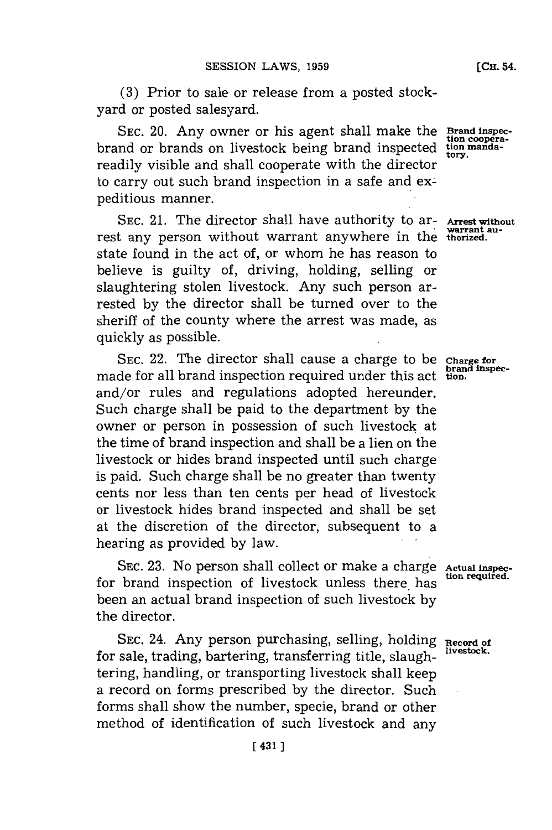**(3)** Prior to sale or release from a posted stockyard or posted salesyard.

**SEC.** 20. Any owner or his agent shall make the brand or brands on livestock being brand inspected readily visible and shall cooperate with the director to carry out such brand inspection in a safe and expeditious manner.

SEC. 21. The director shall have authority to ar- Arrest without rest any person without warrant anywhere in the thorized. state found in the act of, or whom he has reason to believe is guilty of, driving, holding, selling or slaughtering stolen livestock. Any such person arrested **by** the director shall be turned over to the sheriff of the county where the arrest was made, as quickly as possible.

SEC. 22. The director shall cause a charge to be charge for made for all brand inspection required under this act tion. and/or rules and regulations adopted hereunder. Such charge shall be paid to the department **by** the owner or person in possession of such livestock at the time of brand inspection and shall be a lien on the livestock or hides brand inspected until such charge is paid. Such charge shall be no greater than twenty cents nor less than ten cents per head of livestock or livestock hides brand inspected and shall be set at the discretion of the director, subsequent to a hearing as provided **by** law.

SEC. 23. No person shall collect or make a charge Actual inspec-<br>
tion required. for brand inspection of livestock unless there has been an actual brand inspection of such livestock **by** the director.

SEC. 24. Any person purchasing, selling, holding **Record of** for sale, trading, bartering, transferring title, slaughtering, handling, or transporting livestock shall keep a record on forms prescribed by the director. Such forms shall show the number, specie, brand or other method of identification of such livestock and any

**Brand inspec- tion coopera- tion mandatory.**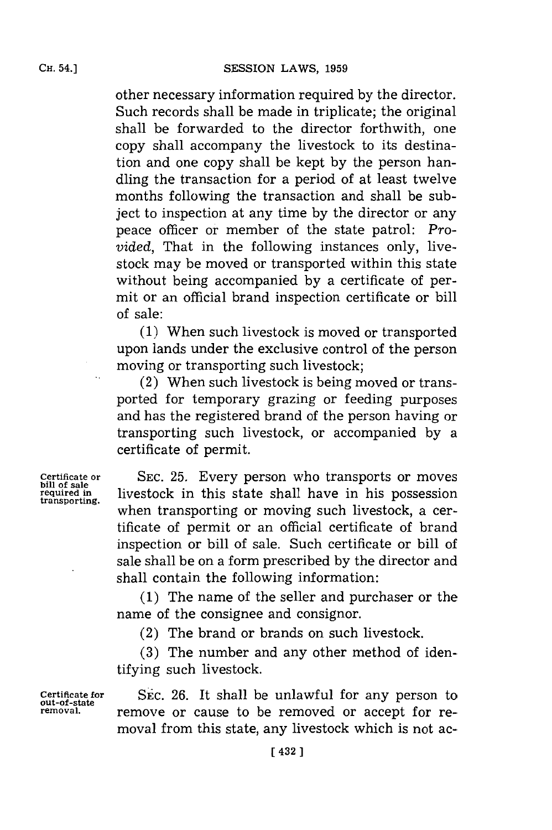other necessary information required **by** the director. Such records shall be made in triplicate; the original shall be forwarded to the director forthwith, one copy shall accompany the livestock to its destination and one copy shall be kept **by** the person handling the transaction for a period of at least twelve months following the transaction and shall be subject to inspection at any time **by** the director or any peace officer or member of the state patrol: *Provided,* That in the following instances only, livestock may be moved or transported within this state without being accompanied **by** a certificate of permit or an official brand inspection certificate or bill of sale:

**(1)** When such livestock is moved or transported upon lands under the exclusive control of the person moving or transporting such livestock;

(2) When such livestock is being moved or transported for temporary grazing or feeding purposes and has the registered brand of the person having or transporting such livestock, or accompanied **by** a certificate of permit.

bill of sale<br>required in

**Certificate or SEC. 25.** Every person who transports or moves **required in livestock** in this state shall have in his possession transporting. when transporting or moving such livestock, a certificate of permit or an official certificate of brand inspection or bill of sale. Such certificate or bill of sale shall be on a form prescribed **by** the director and shall contain the following information:

> **(1)** The name of the seller and purchaser or the name of the consignee and consignor.

(2) The brand or brands on such livestock.

**(3)** The number and any other method of identifying such livestock.

**out-of-state**

**Certificate for** SEC. **26.** It shall be unlawful for any person to remove or cause to be removed or accept for removal from this state, any livestock which is not ac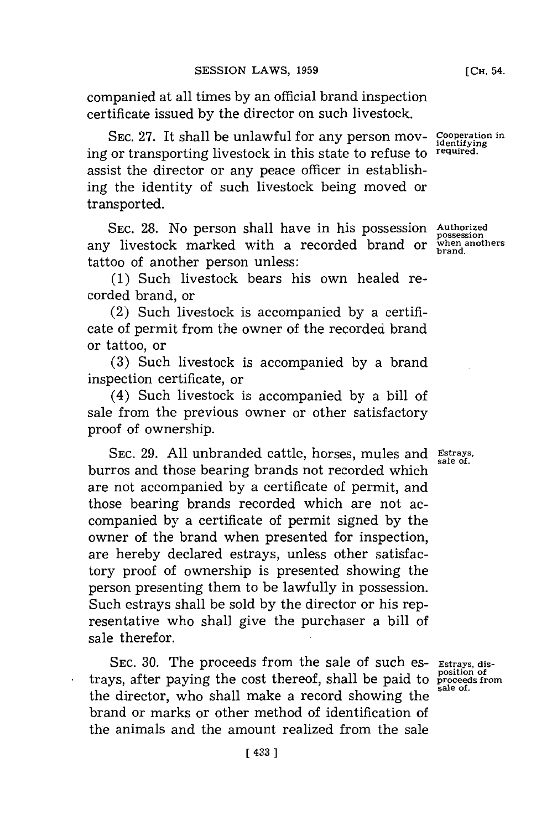companied at all times **by** an official brand inspection certificate issued **by** the director on such livestock.

SEC. 27. It shall be unlawful for any person mov- Cooperation in ing or transporting livestock in this state to refuse to **required.** assist the director or any peace officer in establishing the identity of such livestock being moved or transported.

**SEC. 28.** No person shall have in his possession **Authorized** any livestock marked with a recorded brand or when anothers tattoo of another person unless:

**(1)** Such livestock bears his own healed recorded brand, or

(2) Such livestock is accompanied **by** a certificate of permit from the owner of the recorded brand or tattoo, or

**(3)** Such livestock is accompanied **by** a brand inspection certificate, or

(4) Such livestock is accompanied **by** a bill of sale from the previous owner or other satisfactory proof of ownership.

**SEC. 29. All** unbranded cattle, horses, mules and **Estrays,** burros and those bearing brands not recorded which are not accompanied **by** a certificate of permit, and those bearing brands recorded which are not accompanied **by** a certificate of permit signed **by** the owner of the brand when presented for inspection, are hereby declared estrays, unless other satisfactory proof of ownership is presented showing the person presenting them to be lawfully in possession. Such estrays shall be sold **by** the director or his representative who shall give the purchaser a bill of sale therefor.

SEC. 30. The proceeds from the sale of such es- Estrays, distrays, after paying the cost thereof, shall be paid to **position of proceeds from sale of.** the director, who shall make a record showing the brand or marks or other method of identification of the animals and the amount realized from the sale

**sale** *of.*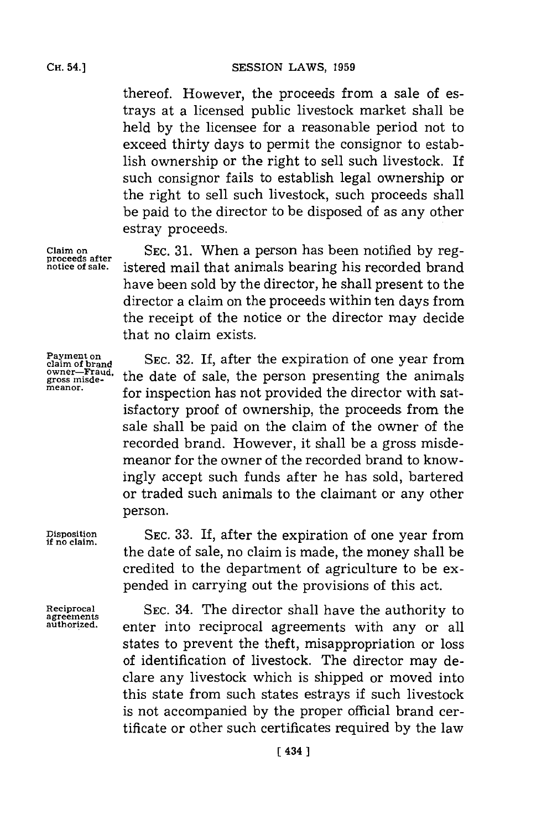CH. **54.]SESSION** LAWS, **1959**

thereof. However, the proceeds from a sale of estrays at a licensed public livestock market shall be held **by** the licensee for a reasonable period not to exceed thirty days to permit the consignor to establish ownership or the right to sell such livestock. If such consignor fails to establish legal ownership or the right to sell such livestock, such proceeds shall be paid to the director to be disposed of as any other estray proceeds.

**SEC. 31.** When a person has been notified **by** registered mail that animals bearing his recorded brand have been sold **by** the director, he shall present to the director a claim on the proceeds within ten days from the receipt of the notice or the director may decide that no claim exists.

**SEC. 32.** If, after the expiration of one year from the date of sale, the person presenting the animals for inspection has not provided the director with satisfactory proof of ownership, the proceeds from the sale shall be paid on the claim of the owner of the recorded brand. However, it shall be a gross misdemeanor for the owner of the recorded brand to knowingly accept such funds after he has sold, bartered or traded such animals to the claimant or any other person.

**SEC. 33. If,** after the expiration of one year from the date of sale, no claim is made, the money shall be credited to the department of agriculture to be expended in carrying out the provisions of this act.

**Reciprocal agreements authorized.**

**Disposition if no claim.**

> **SEC.** 34. The director shall have the authority to enter into reciprocal agreements with any or all states to prevent the theft, misappropriation or loss of identification of livestock. The director may declare any livestock which is shipped or moved into this state from such states estrays if such livestock is not accompanied **by** the proper official brand certificate or other such certificates required **by** the law

**claim on proceeds after notice of sale.**

**Payment on claim of brand owner-Fraud, gross misde- meanor.**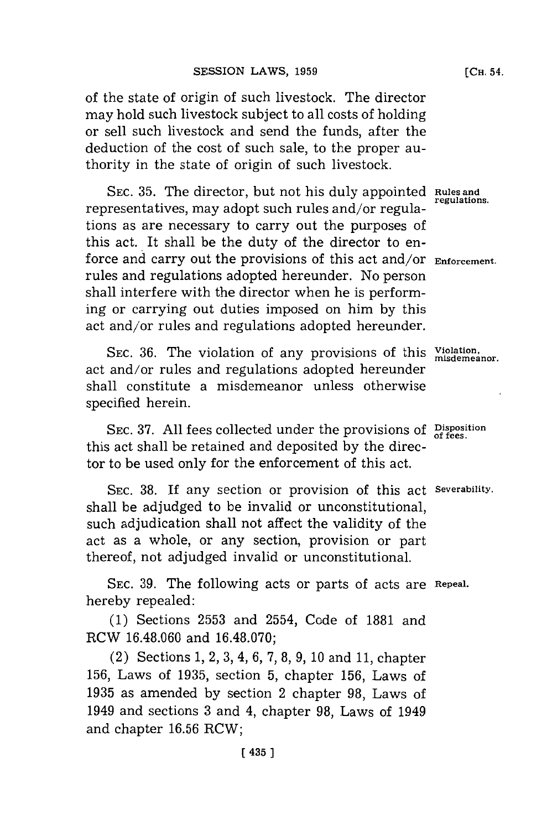of the state of origin of such livestock. The director may hold such livestock subject to all costs of holding or sell such livestock and send the funds, after the deduction of the cost of such sale, to the proper authority in the state of origin of such livestock.

SEC. 35. The director, but not his duly appointed Rules and regulations. representatives, may adopt such rules and/or regulations as are necessary to carry out the purposes of this act. It shall be the duty of the director to enforce and carry out the provisions of this act and/or **Enforcement.** rules and regulations adopted hereunder. No person shall interfere with the director when he is performing or carrying out duties imposed on him **by** this act and/or rules and regulations adopted hereunder.

**SEC. 36.** The violation of any provisions of this **Violation, misdemeanor.** act and/or rules and regulations adopted hereunder shall constitute a misdemeanor unless otherwise specified herein.

**SEC. 37. All** fees collected under the provisions **of Disposition of fees.** this act shall be retained and deposited **by** the director to be used only **for** the enforcement of this act.

**SEC. 38. If** any section or provision of this act **Severability.** shall be adjudged to be invalid or unconstitutional, such adjudication shall not affect the validity of the act as a whole, or any section, provision or part thereof, not adjudged invalid or unconstitutional.

**SEC. 39.** The following acts or parts of acts are **Repeal.** hereby repealed:

**(1)** Sections **2553** and 2554, Code of **1881** and RCW **16.48.060** and **16.48.070;**

(2) Sections **1,** 2, **3,** 4, **6, 7, 8, 9, 10** and **11,** chapter **156,** Laws of **1935,** section **5,** chapter **156,** Laws of **1935** as amended **by** section 2 chapter **98,** Laws of 1949 and sections **3** and 4, chapter **98,** Laws of 1949 and chapter **16.56** RCW;